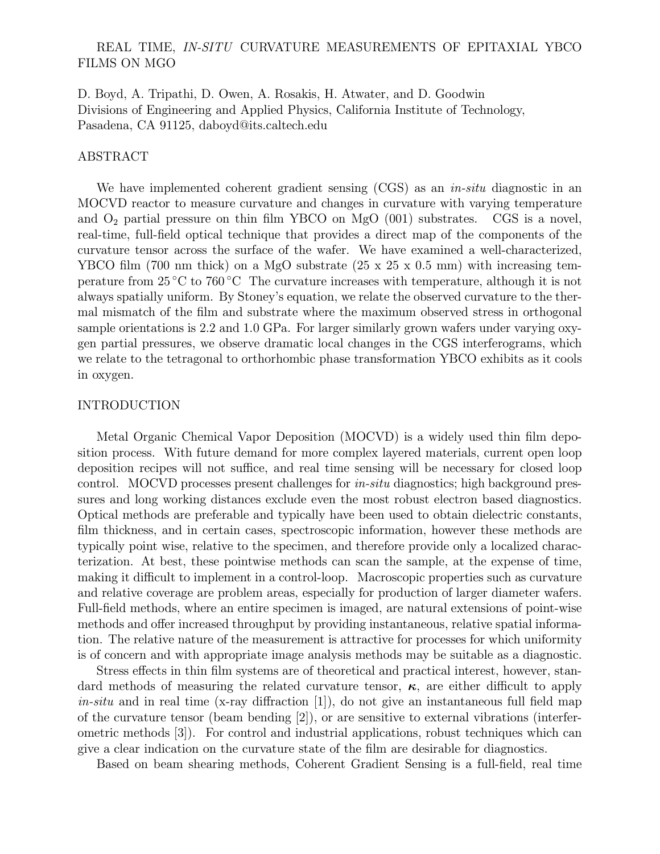# REAL TIME, IN-SITU CURVATURE MEASUREMENTS OF EPITAXIAL YBCO FILMS ON MGO

D. Boyd, A. Tripathi, D. Owen, A. Rosakis, H. Atwater, and D. Goodwin Divisions of Engineering and Applied Physics, California Institute of Technology, Pasadena, CA 91125, daboyd@its.caltech.edu

### ABSTRACT

We have implemented coherent gradient sensing (CGS) as an *in-situ* diagnostic in an MOCVD reactor to measure curvature and changes in curvature with varying temperature and  $O_2$  partial pressure on thin film YBCO on MgO (001) substrates. CGS is a novel, real-time, full-field optical technique that provides a direct map of the components of the curvature tensor across the surface of the wafer. We have examined a well-characterized, YBCO film (700 nm thick) on a MgO substrate  $(25 \times 25 \times 0.5 \text{ mm})$  with increasing temperature from  $25^{\circ}\text{C}$  to  $760^{\circ}\text{C}$  The curvature increases with temperature, although it is not always spatially uniform. By Stoney's equation, we relate the observed curvature to the thermal mismatch of the film and substrate where the maximum observed stress in orthogonal sample orientations is 2.2 and 1.0 GPa. For larger similarly grown wafers under varying oxygen partial pressures, we observe dramatic local changes in the CGS interferograms, which we relate to the tetragonal to orthorhombic phase transformation YBCO exhibits as it cools in oxygen.

#### INTRODUCTION

Metal Organic Chemical Vapor Deposition (MOCVD) is a widely used thin film deposition process. With future demand for more complex layered materials, current open loop deposition recipes will not suffice, and real time sensing will be necessary for closed loop control. MOCVD processes present challenges for *in-situ* diagnostics; high background pressures and long working distances exclude even the most robust electron based diagnostics. Optical methods are preferable and typically have been used to obtain dielectric constants, film thickness, and in certain cases, spectroscopic information, however these methods are typically point wise, relative to the specimen, and therefore provide only a localized characterization. At best, these pointwise methods can scan the sample, at the expense of time, making it difficult to implement in a control-loop. Macroscopic properties such as curvature and relative coverage are problem areas, especially for production of larger diameter wafers. Full-field methods, where an entire specimen is imaged, are natural extensions of point-wise methods and offer increased throughput by providing instantaneous, relative spatial information. The relative nature of the measurement is attractive for processes for which uniformity is of concern and with appropriate image analysis methods may be suitable as a diagnostic.

Stress effects in thin film systems are of theoretical and practical interest, however, standard methods of measuring the related curvature tensor,  $\kappa$ , are either difficult to apply  $in-situ$  and in real time (x-ray diffraction [1]), do not give an instantaneous full field map of the curvature tensor (beam bending [2]), or are sensitive to external vibrations (interferometric methods [3]). For control and industrial applications, robust techniques which can give a clear indication on the curvature state of the film are desirable for diagnostics.

Based on beam shearing methods, Coherent Gradient Sensing is a full-field, real time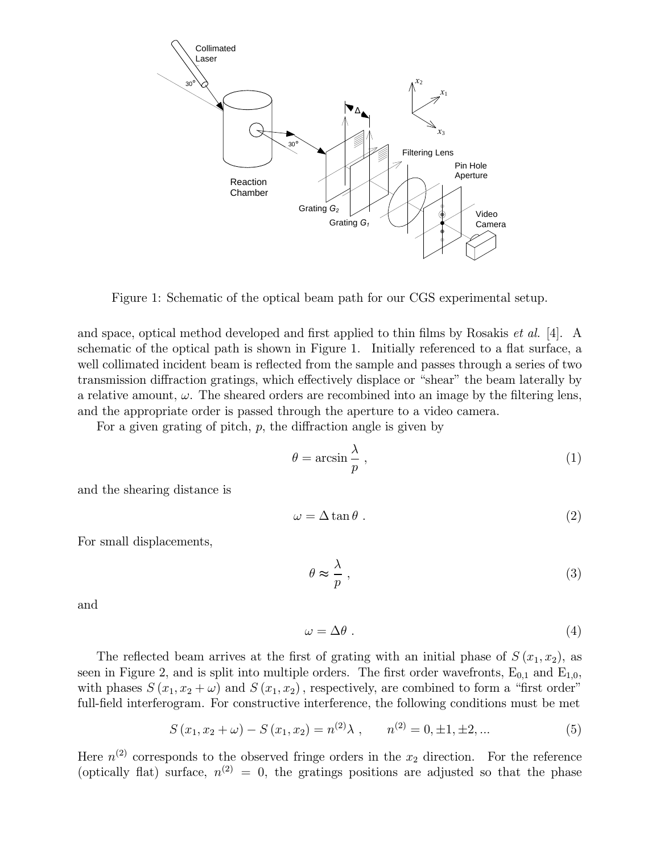

Figure 1: Schematic of the optical beam path for our CGS experimental setup.

and space, optical method developed and first applied to thin films by Rosakis *et al.* [4]. A schematic of the optical path is shown in Figure 1. Initially referenced to a flat surface, a well collimated incident beam is reflected from the sample and passes through a series of two transmission diffraction gratings, which effectively displace or "shear" the beam laterally by a relative amount,  $\omega$ . The sheared orders are recombined into an image by the filtering lens, and the appropriate order is passed through the aperture to a video camera.

For a given grating of pitch,  $p$ , the diffraction angle is given by

$$
\theta = \arcsin\frac{\lambda}{p},\tag{1}
$$

and the shearing distance is

$$
\omega = \Delta \tan \theta \tag{2}
$$

For small displacements,

$$
\theta \approx \frac{\lambda}{p} \,,\tag{3}
$$

and

$$
\omega = \Delta \theta \tag{4}
$$

The reflected beam arrives at the first of grating with an initial phase of  $S(x_1, x_2)$ , as seen in Figure 2, and is split into multiple orders. The first order wavefronts,  $E_{0,1}$  and  $E_{1,0}$ , with phases  $S(x_1, x_2 + \omega)$  and  $S(x_1, x_2)$ , respectively, are combined to form a "first order" full-field interferogram. For constructive interference, the following conditions must be met

$$
S(x_1, x_2 + \omega) - S(x_1, x_2) = n^{(2)}\lambda , \qquad n^{(2)} = 0, \pm 1, \pm 2, ...
$$
 (5)

Here  $n^{(2)}$  corresponds to the observed fringe orders in the  $x_2$  direction. For the reference (optically flat) surface,  $n^{(2)} = 0$ , the gratings positions are adjusted so that the phase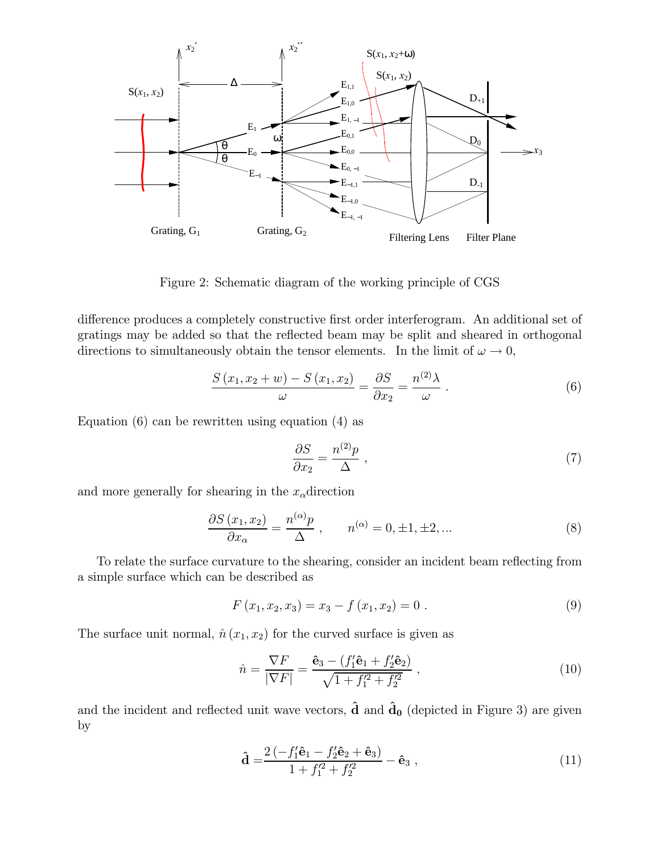

Figure 2: Schematic diagram of the working principle of CGS

difference produces a completely constructive first order interferogram. An additional set of gratings may be added so that the reflected beam may be split and sheared in orthogonal directions to simultaneously obtain the tensor elements. In the limit of  $\omega \to 0$ ,

$$
\frac{S(x_1, x_2 + w) - S(x_1, x_2)}{\omega} = \frac{\partial S}{\partial x_2} = \frac{n^{(2)}\lambda}{\omega}.
$$
\n(6)

Equation (6) can be rewritten using equation (4) as

$$
\frac{\partial S}{\partial x_2} = \frac{n^{(2)}p}{\Delta} \tag{7}
$$

and more generally for shearing in the  $x_{\alpha}$ direction

$$
\frac{\partial S\left(x_1, x_2\right)}{\partial x_\alpha} = \frac{n^{(\alpha)}p}{\Delta} \,, \qquad n^{(\alpha)} = 0, \pm 1, \pm 2, \dots \tag{8}
$$

To relate the surface curvature to the shearing, consider an incident beam reflecting from a simple surface which can be described as

$$
F(x_1, x_2, x_3) = x_3 - f(x_1, x_2) = 0.
$$
\n(9)

The surface unit normal,  $\hat{n} (x_1, x_2)$  for the curved surface is given as

$$
\hat{n} = \frac{\nabla F}{|\nabla F|} = \frac{\hat{\mathbf{e}}_3 - (f_1'\hat{\mathbf{e}}_1 + f_2'\hat{\mathbf{e}}_2)}{\sqrt{1 + f_1'^2 + f_2'^2}} \,,\tag{10}
$$

and the incident and reflected unit wave vectors,  $\hat{d}$  and  $\hat{d}_0$  (depicted in Figure 3) are given by

$$
\hat{\mathbf{d}} = \frac{2\left(-f_1'\hat{\mathbf{e}}_1 - f_2'\hat{\mathbf{e}}_2 + \hat{\mathbf{e}}_3\right)}{1 + f_1'^2 + f_2'^2} - \hat{\mathbf{e}}_3 ,
$$
\n(11)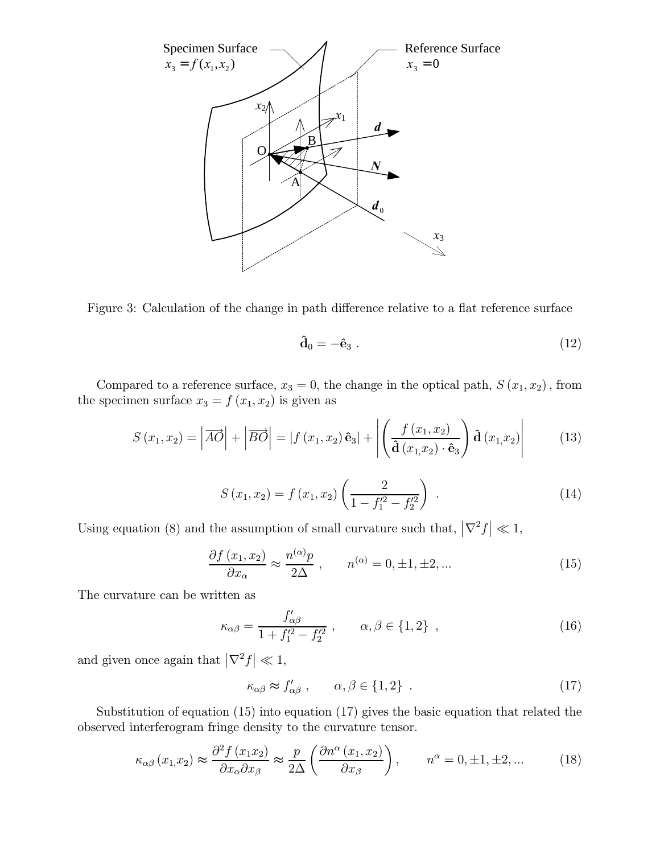

Figure 3: Calculation of the change in path difference relative to a flat reference surface

$$
\hat{\mathbf{d}}_0 = -\hat{\mathbf{e}}_3 . \tag{12}
$$

Compared to a reference surface,  $x_3 = 0$ , the change in the optical path,  $S(x_1, x_2)$ , from the specimen surface  $x_3 = f(x_1, x_2)$  is given as

$$
S(x_1, x_2) = |\overrightarrow{AO}| + |\overrightarrow{BO}| = |f(x_1, x_2) \hat{\mathbf{e}}_3| + \left| \left( \frac{f(x_1, x_2)}{\hat{\mathbf{d}}(x_1, x_2) \cdot \hat{\mathbf{e}}_3} \right) \hat{\mathbf{d}}(x_1, x_2) \right| \tag{13}
$$

$$
S(x_1, x_2) = f(x_1, x_2) \left( \frac{2}{1 - f_1'^2 - f_2'^2} \right) . \tag{14}
$$

Using equation (8) and the assumption of small curvature such that,  $\left|\nabla^2 f\right| \ll 1$ ,

$$
\frac{\partial f(x_1, x_2)}{\partial x_\alpha} \approx \frac{n^{(\alpha)}p}{2\Delta} , \qquad n^{(\alpha)} = 0, \pm 1, \pm 2, \dots \tag{15}
$$

The curvature can be written as

$$
\kappa_{\alpha\beta} = \frac{f'_{\alpha\beta}}{1 + f_1'^2 - f_2'^2} \,, \qquad \alpha, \beta \in \{1, 2\} \,, \tag{16}
$$

and given once again that  $\left|\nabla^2 f\right| \ll 1$ ,

$$
\kappa_{\alpha\beta} \approx f'_{\alpha\beta} , \qquad \alpha, \beta \in \{1, 2\} . \tag{17}
$$

Substitution of equation (15) into equation (17) gives the basic equation that related the observed interferogram fringe density to the curvature tensor.

$$
\kappa_{\alpha\beta}(x_1, x_2) \approx \frac{\partial^2 f(x_1 x_2)}{\partial x_\alpha \partial x_\beta} \approx \frac{p}{2\Delta} \left( \frac{\partial n^\alpha(x_1, x_2)}{\partial x_\beta} \right), \qquad n^\alpha = 0, \pm 1, \pm 2, \dots \tag{18}
$$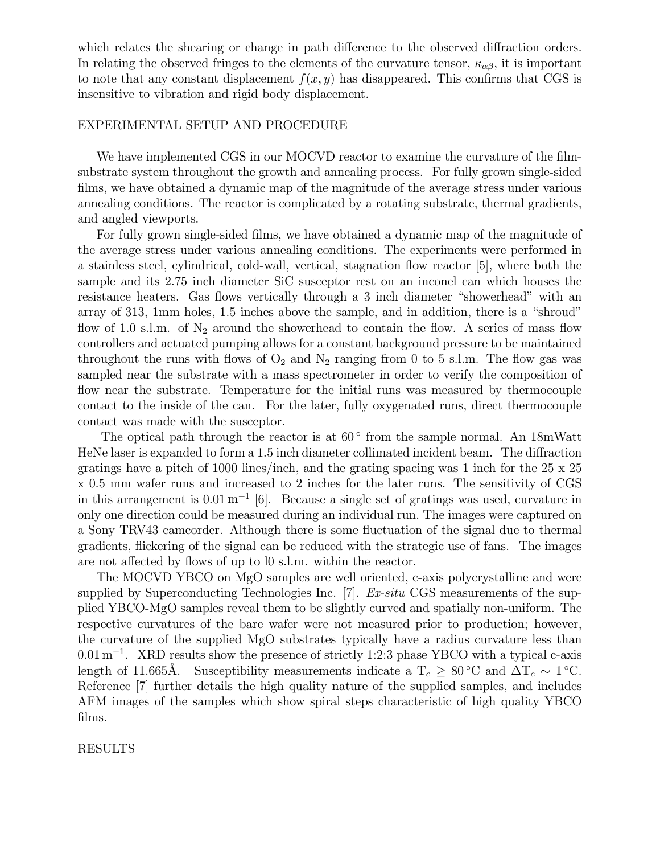which relates the shearing or change in path difference to the observed diffraction orders. In relating the observed fringes to the elements of the curvature tensor,  $\kappa_{\alpha\beta}$ , it is important to note that any constant displacement  $f(x, y)$  has disappeared. This confirms that CGS is insensitive to vibration and rigid body displacement.

## EXPERIMENTAL SETUP AND PROCEDURE

We have implemented CGS in our MOCVD reactor to examine the curvature of the filmsubstrate system throughout the growth and annealing process. For fully grown single-sided films, we have obtained a dynamic map of the magnitude of the average stress under various annealing conditions. The reactor is complicated by a rotating substrate, thermal gradients, and angled viewports.

For fully grown single-sided films, we have obtained a dynamic map of the magnitude of the average stress under various annealing conditions. The experiments were performed in a stainless steel, cylindrical, cold-wall, vertical, stagnation flow reactor [5], where both the sample and its 2.75 inch diameter SiC susceptor rest on an inconel can which houses the resistance heaters. Gas flows vertically through a 3 inch diameter "showerhead" with an array of  $313$ , 1mm holes,  $1.5$  inches above the sample, and in addition, there is a "shroud" flow of 1.0 s.l.m. of  $N_2$  around the showerhead to contain the flow. A series of mass flow controllers and actuated pumping allows for a constant background pressure to be maintained throughout the runs with flows of  $O_2$  and  $N_2$  ranging from 0 to 5 s.l.m. The flow gas was sampled near the substrate with a mass spectrometer in order to verify the composition of flow near the substrate. Temperature for the initial runs was measured by thermocouple contact to the inside of the can. For the later, fully oxygenated runs, direct thermocouple contact was made with the susceptor.

The optical path through the reactor is at  $60^{\circ}$  from the sample normal. An 18mWatt HeNe laser is expanded to form a 1.5 inch diameter collimated incident beam. The diffraction gratings have a pitch of 1000 lines/inch, and the grating spacing was 1 inch for the 25 x 25 x 0.5 mm wafer runs and increased to 2 inches for the later runs. The sensitivity of CGS in this arrangement is  $0.01 \,\mathrm{m}^{-1}$  [6]. Because a single set of gratings was used, curvature in only one direction could be measured during an individual run. The images were captured on a Sony TRV43 camcorder. Although there is some fluctuation of the signal due to thermal gradients, flickering of the signal can be reduced with the strategic use of fans. The images are not affected by flows of up to l0 s.l.m. within the reactor.

The MOCVD YBCO on MgO samples are well oriented, c-axis polycrystalline and were supplied by Superconducting Technologies Inc. [7]. Ex-situ CGS measurements of the supplied YBCO-MgO samples reveal them to be slightly curved and spatially non-uniform. The respective curvatures of the bare wafer were not measured prior to production; however, the curvature of the supplied MgO substrates typically have a radius curvature less than  $0.01\,\mathrm{m}^{-1}$ . XRD results show the presence of strictly 1:2:3 phase YBCO with a typical c-axis length of 11.665Å. Susceptibility measurements indicate a  $T_c \geq 80^{\circ}\text{C}$  and  $\Delta T_c \sim 1^{\circ}\text{C}$ . Reference [7] further details the high quality nature of the supplied samples, and includes AFM images of the samples which show spiral steps characteristic of high quality YBCO films.

RESULTS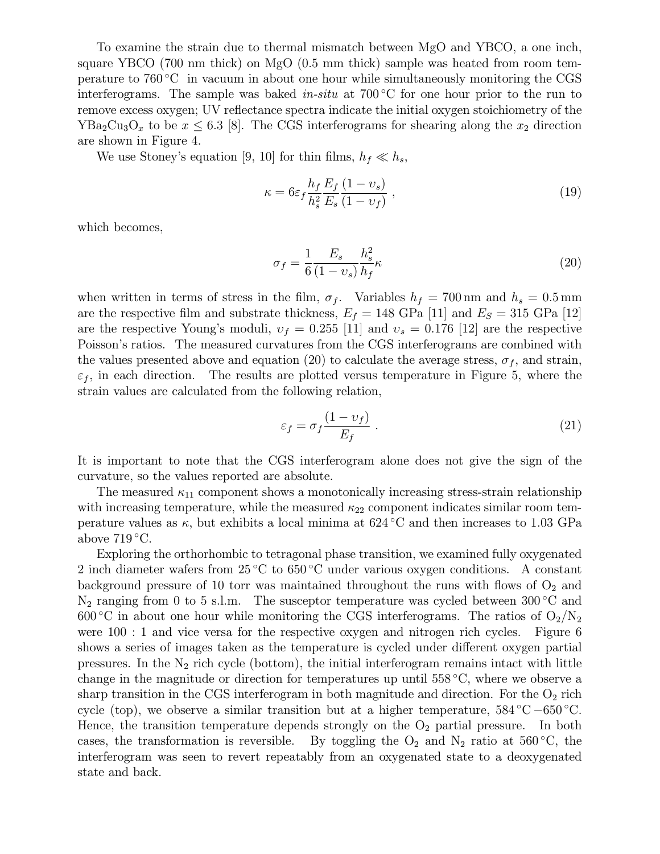To examine the strain due to thermal mismatch between MgO and YBCO, a one inch, square YBCO (700 nm thick) on MgO (0.5 mm thick) sample was heated from room temperature to 760 °C in vacuum in about one hour while simultaneously monitoring the CGS interferograms. The sample was baked *in-situ* at  $700\degree$ C for one hour prior to the run to remove excess oxygen; UV reflectance spectra indicate the initial oxygen stoichiometry of the  $YBa<sub>2</sub>Cu<sub>3</sub>O<sub>x</sub>$  to be  $x \leq 6.3$  [8]. The CGS interferograms for shearing along the  $x_2$  direction are shown in Figure 4.

We use Stoney's equation [9, 10] for thin films,  $h_f \ll h_s$ ,

$$
\kappa = 6\varepsilon_f \frac{h_f}{h_s^2} \frac{E_f}{E_s} \frac{(1 - v_s)}{(1 - v_f)},
$$
\n(19)

which becomes,

$$
\sigma_f = \frac{1}{6} \frac{E_s}{(1 - v_s)} \frac{h_s^2}{h_f} \kappa \tag{20}
$$

when written in terms of stress in the film,  $\sigma_f$ . Variables  $h_f = 700 \text{ nm}$  and  $h_s = 0.5 \text{ mm}$ are the respective film and substrate thickness,  $E_f = 148 \text{ GPa} [11]$  and  $E_S = 315 \text{ GPa} [12]$ are the respective Young's moduli,  $v_f = 0.255$  [11] and  $v_s = 0.176$  [12] are the respective Poisson's ratios. The measured curvatures from the CGS interferograms are combined with the values presented above and equation (20) to calculate the average stress,  $\sigma_f$ , and strain,  $\varepsilon_f$ , in each direction. The results are plotted versus temperature in Figure 5, where the strain values are calculated from the following relation,

$$
\varepsilon_f = \sigma_f \frac{(1 - \upsilon_f)}{E_f} \,. \tag{21}
$$

It is important to note that the CGS interferogram alone does not give the sign of the curvature, so the values reported are absolute.

The measured  $\kappa_{11}$  component shows a monotonically increasing stress-strain relationship with increasing temperature, while the measured  $\kappa_{22}$  component indicates similar room temperature values as  $\kappa$ , but exhibits a local minima at 624 °C and then increases to 1.03 GPa above  $719^{\circ}$ C.

Exploring the orthorhombic to tetragonal phase transition, we examined fully oxygenated 2 inch diameter wafers from  $25^{\circ}$ C to  $650^{\circ}$ C under various oxygen conditions. A constant background pressure of 10 torr was maintained throughout the runs with flows of  $O_2$  and  $\rm N_2$  ranging from 0 to 5 s.l.m. The susceptor temperature was cycled between 300 °C and 600 °C in about one hour while monitoring the CGS interferograms. The ratios of  $O_2/N_2$ were 100 : 1 and vice versa for the respective oxygen and nitrogen rich cycles. Figure 6 shows a series of images taken as the temperature is cycled under different oxygen partial pressures. In the  $N_2$  rich cycle (bottom), the initial interferogram remains intact with little change in the magnitude or direction for temperatures up until  $558\textdegree C$ , where we observe a sharp transition in the CGS interferogram in both magnitude and direction. For the  $O_2$  rich cycle (top), we observe a similar transition but at a higher temperature,  $584^{\circ}\text{C} - 650^{\circ}\text{C}$ . Hence, the transition temperature depends strongly on the  $O_2$  partial pressure. In both cases, the transformation is reversible. By toggling the  $O_2$  and  $N_2$  ratio at 560 °C, the interferogram was seen to revert repeatably from an oxygenated state to a deoxygenated state and back.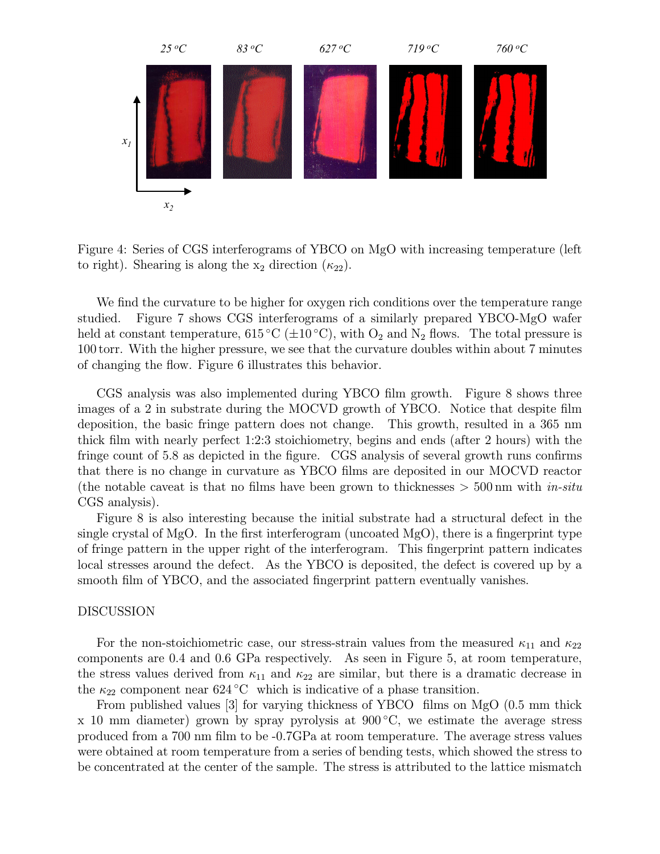

Figure 4: Series of CGS interferograms of YBCO on MgO with increasing temperature (left to right). Shearing is along the  $x_2$  direction  $(\kappa_{22})$ .

We find the curvature to be higher for oxygen rich conditions over the temperature range studied. Figure 7 shows CGS interferograms of a similarly prepared YBCO-MgO wafer held at constant temperature,  $615^{\circ}\text{C}$  ( $\pm 10^{\circ}\text{C}$ ), with  $\text{O}_2$  and  $\text{N}_2$  flows. The total pressure is 100 torr. With the higher pressure, we see that the curvature doubles within about 7 minutes of changing the flow. Figure 6 illustrates this behavior.

CGS analysis was also implemented during YBCO film growth. Figure 8 shows three images of a 2 in substrate during the MOCVD growth of YBCO. Notice that despite  $film$ deposition, the basic fringe pattern does not change. This growth, resulted in a 365 nm thick film with nearly perfect  $1:2:3$  stoichiometry, begins and ends (after 2 hours) with the fringe count of 5.8 as depicted in the figure. CGS analysis of several growth runs confirms that there is no change in curvature as YBCO films are deposited in our MOCVD reactor (the notable caveat is that no films have been grown to thicknesses  $>$  500 nm with in-situ CGS analysis).

Figure 8 is also interesting because the initial substrate had a structural defect in the single crystal of MgO. In the first interferogram (uncoated MgO), there is a fingerprint type of fringe pattern in the upper right of the interferogram. This fingerprint pattern indicates local stresses around the defect. As the YBCO is deposited, the defect is covered up by a smooth film of YBCO, and the associated fingerprint pattern eventually vanishes.

#### DISCUSSION

For the non-stoichiometric case, our stress-strain values from the measured  $\kappa_{11}$  and  $\kappa_{22}$ components are 0.4 and 0.6 GPa respectively. As seen in Figure 5, at room temperature, the stress values derived from  $\kappa_{11}$  and  $\kappa_{22}$  are similar, but there is a dramatic decrease in the  $\kappa_{22}$  component near 624 °C which is indicative of a phase transition.

From published values  $[3]$  for varying thickness of YBCO films on MgO  $(0.5 \text{ mm thick})$  $x$  10 mm diameter) grown by spray pyrolysis at 900 $^{\circ}$ C, we estimate the average stress produced from a 700 nm film to be  $-0.7$ GPa at room temperature. The average stress values were obtained at room temperature from a series of bending tests, which showed the stress to be concentrated at the center of the sample. The stress is attributed to the lattice mismatch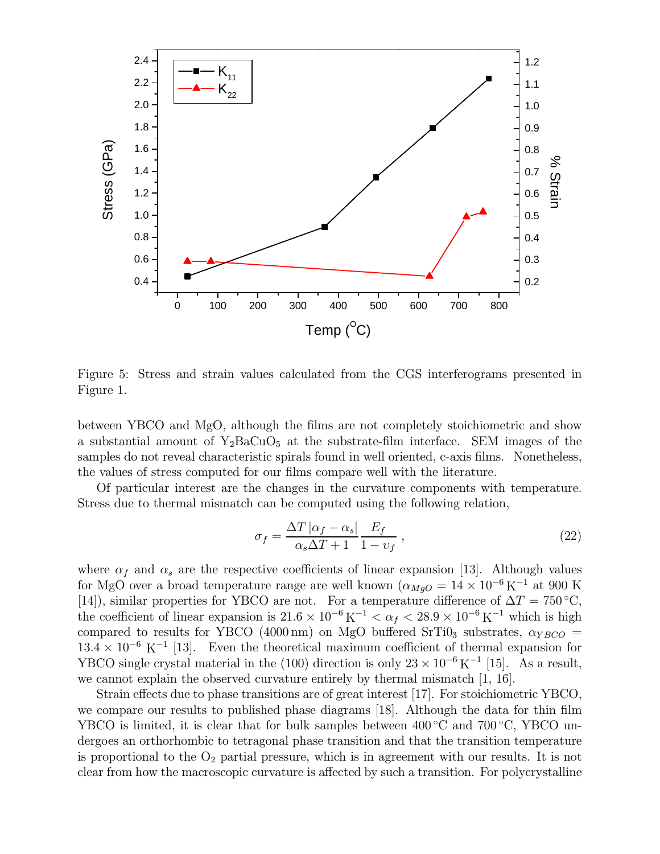

Figure 5: Stress and strain values calculated from the CGS interferograms presented in Figure 1.

between YBCO and MgO, although the films are not completely stoichiometric and show a substantial amount of  $Y_2BaCuO_5$  at the substrate-film interface. SEM images of the samples do not reveal characteristic spirals found in well oriented, c-axis films. Nonetheless, the values of stress computed for our films compare well with the literature.

Of particular interest are the changes in the curvature components with temperature. Stress due to thermal mismatch can be computed using the following relation,

$$
\sigma_f = \frac{\Delta T \left| \alpha_f - \alpha_s \right|}{\alpha_s \Delta T + 1} \frac{E_f}{1 - v_f} \,, \tag{22}
$$

where  $\alpha_f$  and  $\alpha_s$  are the respective coefficients of linear expansion [13]. Although values for MgO over a broad temperature range are well known  $(\alpha_{MgO} = 14 \times 10^{-6} \text{ K}^{-1})$  at 900 K [14]), similar properties for YBCO are not. For a temperature difference of  $\Delta T = 750^{\circ}\text{C}$ , the coefficient of linear expansion is  $21.6 \times 10^{-6}$  K<sup>-1</sup>  $\lt \alpha_f \lt 28.9 \times 10^{-6}$  K<sup>-1</sup> which is high compared to results for YBCO (4000 nm) on MgO buffered SrTi0<sub>3</sub> substrates,  $\alpha_{YBCO}$  =  $13.4 \times 10^{-6}$  K<sup>-1</sup> [13]. Even the theoretical maximum coefficient of thermal expansion for YBCO single crystal material in the (100) direction is only  $23 \times 10^{-6}$  K<sup>-1</sup> [15]. As a result, we cannot explain the observed curvature entirely by thermal mismatch [1, 16].

Strain effects due to phase transitions are of great interest [17]. For stoichiometric YBCO, we compare our results to published phase diagrams  $[18]$ . Although the data for thin film YBCO is limited, it is clear that for bulk samples between  $400\degree C$  and  $700\degree C$ , YBCO undergoes an orthorhombic to tetragonal phase transition and that the transition temperature is proportional to the  $O_2$  partial pressure, which is in agreement with our results. It is not clear from how the macroscopic curvature is affected by such a transition. For polycrystalline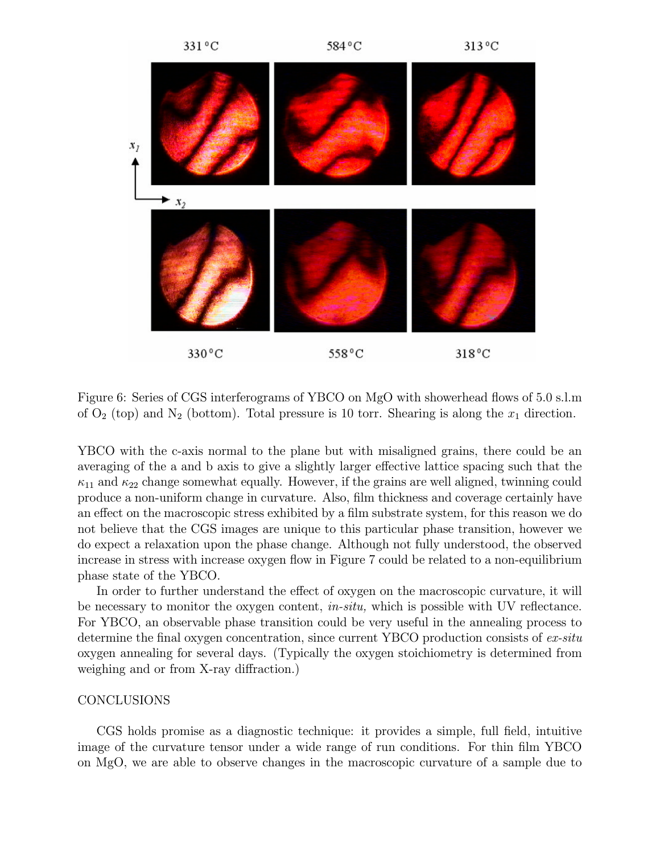

Figure 6: Series of CGS interferograms of YBCO on MgO with showerhead flows of 5.0 s.l.m of  $O_2$  (top) and  $N_2$  (bottom). Total pressure is 10 torr. Shearing is along the  $x_1$  direction.

YBCO with the c-axis normal to the plane but with misaligned grains, there could be an averaging of the a and b axis to give a slightly larger effective lattice spacing such that the  $\kappa_{11}$  and  $\kappa_{22}$  change somewhat equally. However, if the grains are well aligned, twinning could produce a non-uniform change in curvature. Also, film thickness and coverage certainly have an effect on the macroscopic stress exhibited by a film substrate system, for this reason we do not believe that the CGS images are unique to this particular phase transition, however we do expect a relaxation upon the phase change. Although not fully understood, the observed increase in stress with increase oxygen flow in Figure 7 could be related to a non-equilibrium phase state of the YBCO.

In order to further understand the effect of oxygen on the macroscopic curvature, it will be necessary to monitor the oxygen content,  $in-situ$ , which is possible with UV reflectance. For YBCO, an observable phase transition could be very useful in the annealing process to determine the final oxygen concentration, since current YBCO production consists of  $ex-situ$ oxygen annealing for several days. (Typically the oxygen stoichiometry is determined from weighing and or from X-ray diffraction.)

## **CONCLUSIONS**

CGS holds promise as a diagnostic technique: it provides a simple, full field, intuitive image of the curvature tensor under a wide range of run conditions. For thin film YBCO on MgO, we are able to observe changes in the macroscopic curvature of a sample due to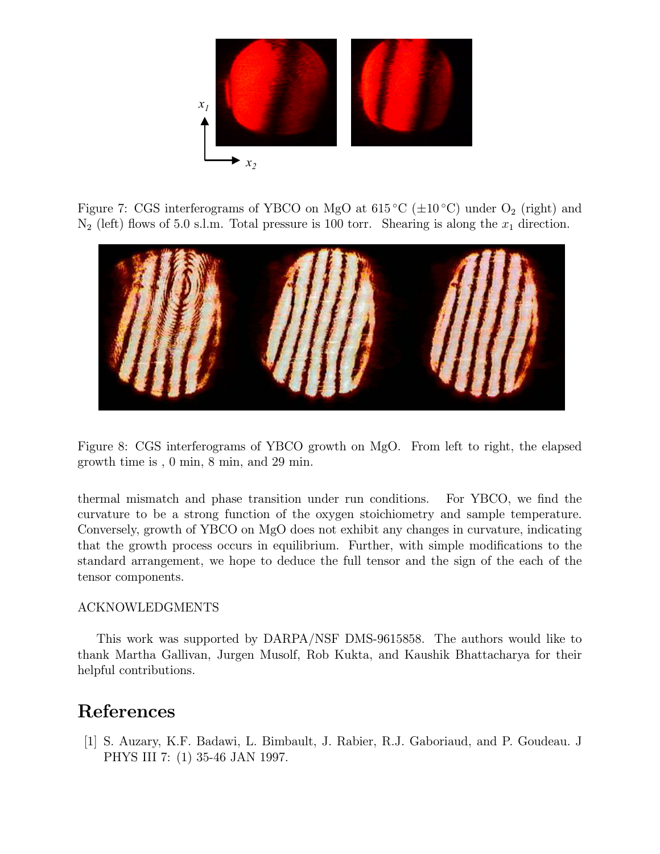

Figure 7: CGS interferograms of YBCO on MgO at  $615^{\circ}$ C ( $\pm 10^{\circ}$ C) under O<sub>2</sub> (right) and  $N_2$  (left) flows of 5.0 s.l.m. Total pressure is 100 torr. Shearing is along the  $x_1$  direction.



Figure 8: CGS interferograms of YBCO growth on MgO. From left to right, the elapsed growth time is , 0 min, 8 min, and 29 min.

thermal mismatch and phase transition under run conditions. For YBCO, we find the curvature to be a strong function of the oxygen stoichiometry and sample temperature. Conversely, growth of YBCO on MgO does not exhibit any changes in curvature, indicating that the growth process occurs in equilibrium. Further, with simple modifications to the standard arrangement, we hope to deduce the full tensor and the sign of the each of the tensor components.

# ACKNOWLEDGMENTS

This work was supported by DARPA/NSF DMS-9615858. The authors would like to thank Martha Gallivan, Jurgen Musolf, Rob Kukta, and Kaushik Bhattacharya for their helpful contributions.

# References

[1] S. Auzary, K.F. Badawi, L. Bimbault, J. Rabier, R.J. Gaboriaud, and P. Goudeau. J PHYS III 7: (1) 35-46 JAN 1997.